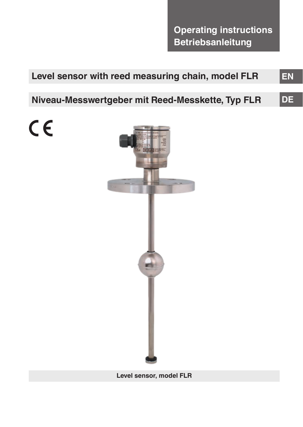**Operating instructions Betriebsanleitung**

**DE**

**EN**

#### **Level sensor with reed measuring chain, model FLR**

**Niveau-Messwertgeber mit Reed-Messkette, Typ FLR**

 $C \in$ 



**Level sensor, model FLR**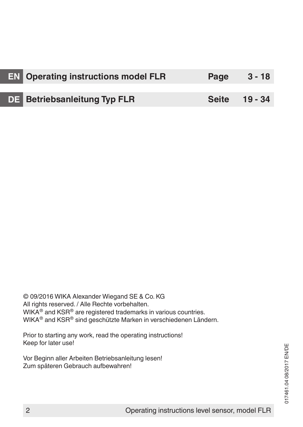| <b>EN Operating instructions model FLR</b> | Page         | $3 - 18$  |
|--------------------------------------------|--------------|-----------|
|                                            |              |           |
| <b>DE Betriebsanleitung Typ FLR</b>        | <b>Seite</b> | $19 - 34$ |

© 09/2016 WIKA Alexander Wiegand SE & Co. KG All rights reserved. / Alle Rechte vorbehalten. WIKA<sup>®</sup> and KSR<sup>®</sup> are registered trademarks in various countries. WIKA<sup>®</sup> and KSR<sup>®</sup> sind geschützte Marken in verschiedenen Ländern.

Prior to starting any work, read the operating instructions! Keep for later use!

Vor Beginn aller Arbeiten Betriebsanleitung lesen! Zum späteren Gebrauch aufbewahren!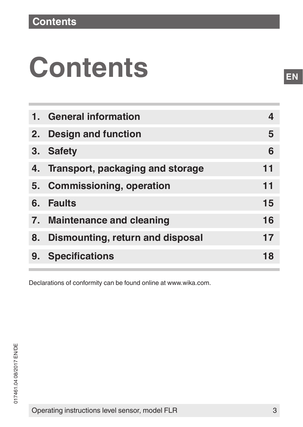# **Contents**

| 1. General information              | 4  |
|-------------------------------------|----|
| 2. Design and function              | 5  |
| 3. Safety                           | 6  |
| 4. Transport, packaging and storage | 11 |
| 5. Commissioning, operation         | 11 |
| 6. Faults                           | 15 |
| 7. Maintenance and cleaning         | 16 |
| 8. Dismounting, return and disposal | 17 |
| <b>Specifications</b>               | 18 |
|                                     |    |

Declarations of conformity can be found online at www.wika.com.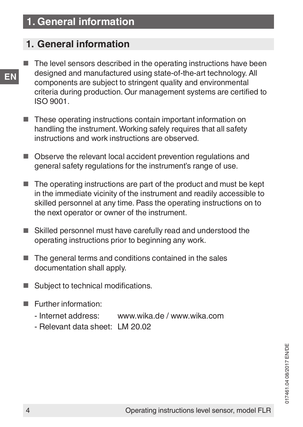# **1. General information**

### **1. General information**

- **EN** The level sensors described in the operating instructions have been designed and manufactured using state-of-the-art technology. All components are subject to stringent quality and environmental criteria during production. Our management systems are certified to ISO 9001.
	- These operating instructions contain important information on handling the instrument. Working safely requires that all safety instructions and work instructions are observed.
	- Observe the relevant local accident prevention regulations and general safety regulations for the instrument's range of use.
	- $\blacksquare$  The operating instructions are part of the product and must be kept in the immediate vicinity of the instrument and readily accessible to skilled personnel at any time. Pass the operating instructions on to the next operator or owner of the instrument.
	- Skilled personnel must have carefully read and understood the operating instructions prior to beginning any work.
	- The general terms and conditions contained in the sales documentation shall apply.
	- Subject to technical modifications.
	- Further information:
		- Internet address: www.wika.de / www.wika.com
		- Relevant data sheet: LM 20.02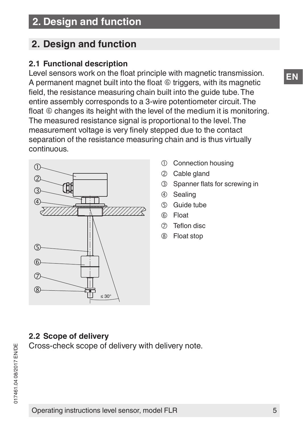# **2. Design and function**

# **2. Design and function**

#### **2.1 Functional description**

Level sensors work on the float principle with magnetic transmission. A permanent magnet built into the float  $@$  triggers, with its magnetic field, the resistance measuring chain built into the guide tube. The entire assembly corresponds to a 3-wire potentiometer circuit. The float  $<sup>®</sup>$  changes its height with the level of the medium it is monitoring.</sup> The measured resistance signal is proportional to the level. The measurement voltage is very finely stepped due to the contact separation of the resistance measuring chain and is thus virtually continuous.



- Connection housing
- (2) Cable gland
- Spanner flats for screwing in
- 4 Sealing
- Guide tube
- **6** Float
- Teflon disc
- Float stop

#### **2.2 Scope of delivery**

Cross-check scope of delivery with delivery note.

**EN**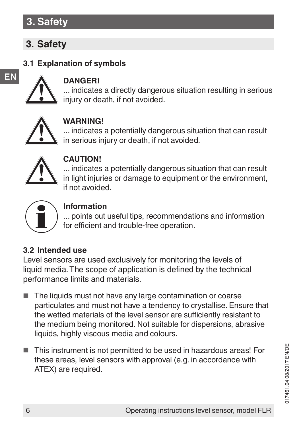# **3. Safety**

#### **3.1 Explanation of symbols**



#### **DANGER!**

... indicates a directly dangerous situation resulting in serious injury or death, if not avoided.



#### **WARNING!**

... indicates a potentially dangerous situation that can result in serious injury or death, if not avoided.



#### **CAUTION!**

... indicates a potentially dangerous situation that can result in light injuries or damage to equipment or the environment, if not avoided.



#### **Information**

... points out useful tips, recommendations and information for efficient and trouble-free operation.

#### **3.2 Intended use**

Level sensors are used exclusively for monitoring the levels of liquid media. The scope of application is defined by the technical performance limits and materials.

- The liquids must not have any large contamination or coarse particulates and must not have a tendency to crystallise. Ensure that the wetted materials of the level sensor are sufficiently resistant to the medium being monitored. Not suitable for dispersions, abrasive liquids, highly viscous media and colours.
- This instrument is not permitted to be used in hazardous areas! For these areas, level sensors with approval (e.g. in accordance with ATEX) are required.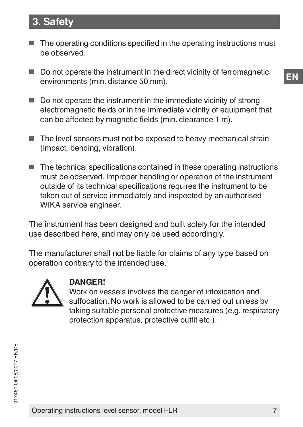- The operating conditions specified in the operating instructions must be observed.
- Do not operate the instrument in the direct vicinity of ferromagnetic environments (min. distance 50 mm).
- Do not operate the instrument in the immediate vicinity of strong electromagnetic fields or in the immediate vicinity of equipment that can be affected by magnetic fields (min. clearance 1 m).
- The level sensors must not be exposed to heavy mechanical strain (impact, bending, vibration).
- The technical specifications contained in these operating instructions must be observed. Improper handling or operation of the instrument outside of its technical specifications requires the instrument to be taken out of service immediately and inspected by an authorised WIKA service engineer.

The instrument has been designed and built solely for the intended use described here, and may only be used accordingly.

The manufacturer shall not be liable for claims of any type based on operation contrary to the intended use.



#### **DANGER!**

Work on vessels involves the danger of intoxication and suffocation. No work is allowed to be carried out unless by taking suitable personal protective measures (e.g. respiratory protection apparatus, protective outfit etc.).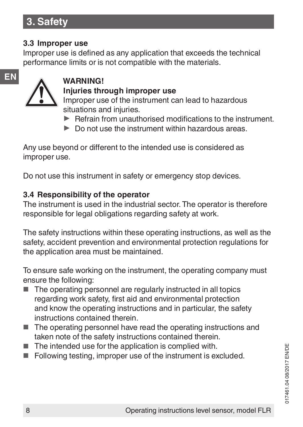#### **3.3 Improper use**

Improper use is defined as any application that exceeds the technical performance limits or is not compatible with the materials.



#### **WARNING! Injuries through improper use**

Improper use of the instrument can lead to hazardous situations and injuries.

- $\blacktriangleright$  Refrain from unauthorised modifications to the instrument.
- ▶ Do not use the instrument within hazardous areas.

Any use beyond or different to the intended use is considered as improper use.

Do not use this instrument in safety or emergency stop devices.

#### **3.4 Responsibility of the operator**

The instrument is used in the industrial sector. The operator is therefore responsible for legal obligations regarding safety at work.

The safety instructions within these operating instructions, as well as the safety, accident prevention and environmental protection regulations for the application area must be maintained.

To ensure safe working on the instrument, the operating company must ensure the following:

- The operating personnel are regularly instructed in all topics regarding work safety, first aid and environmental protection and know the operating instructions and in particular, the safety instructions contained therein.
- The operating personnel have read the operating instructions and taken note of the safety instructions contained therein.
- The intended use for the application is complied with.
- Following testing, improper use of the instrument is excluded.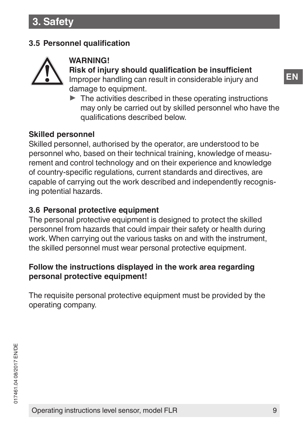#### **3.5 Personnel qualification**



#### **WARNING! Risk of injury should qualification be insufficient**

Improper handling can result in considerable injury and damage to equipment.

 $\blacktriangleright$  The activities described in these operating instructions may only be carried out by skilled personnel who have the qualifications described below.

#### **Skilled personnel**

Skilled personnel, authorised by the operator, are understood to be personnel who, based on their technical training, knowledge of measurement and control technology and on their experience and knowledge of country-specific regulations, current standards and directives, are capable of carrying out the work described and independently recognising potential hazards.

#### **3.6 Personal protective equipment**

The personal protective equipment is designed to protect the skilled personnel from hazards that could impair their safety or health during work. When carrying out the various tasks on and with the instrument, the skilled personnel must wear personal protective equipment.

#### **Follow the instructions displayed in the work area regarding personal protective equipment!**

The requisite personal protective equipment must be provided by the operating company.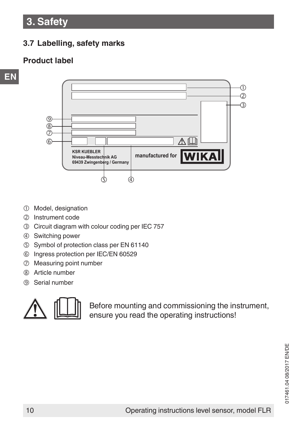#### **3.7 Labelling, safety marks**

#### **Product label**



- Model, designation
- Instrument code
- Circuit diagram with colour coding per IEC 757
- Switching power
- Symbol of protection class per EN 61140
- Ingress protection per IEC/EN 60529
- Measuring point number
- Article number
- Serial number



Before mounting and commissioning the instrument, ensure you read the operating instructions!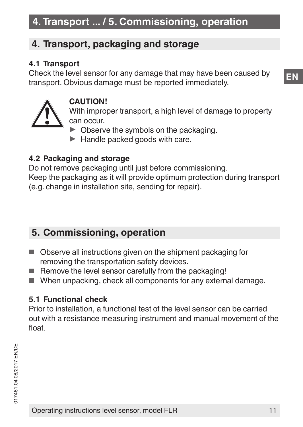# **4. Transport ... / 5. Commissioning, operation**

### **4. Transport, packaging and storage**

#### **4.1 Transport**

Check the level sensor for any damage that may have been caused by transport. Obvious damage must be reported immediately.



#### **CAUTION!**

With improper transport, a high level of damage to property can occur.

- $\triangleright$  Observe the symbols on the packaging.
- $\blacktriangleright$  Handle packed goods with care.

#### **4.2 Packaging and storage**

Do not remove packaging until just before commissioning. Keep the packaging as it will provide optimum protection during transport (e.g. change in installation site, sending for repair).

# **5. Commissioning, operation**

- Observe all instructions given on the shipment packaging for removing the transportation safety devices.
- Remove the level sensor carefully from the packaging!
- When unpacking, check all components for any external damage.

#### **5.1 Functional check**

Prior to installation, a functional test of the level sensor can be carried out with a resistance measuring instrument and manual movement of the float.

**EN**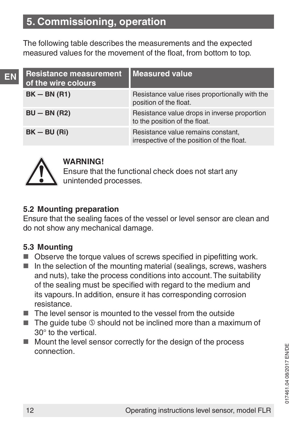# **5. Commissioning, operation**

The following table describes the measurements and the expected measured values for the movement of the float, from bottom to top.

| EN | <b>Resistance measurement</b><br>of the wire colours | <b>Measured value</b>                                                            |
|----|------------------------------------------------------|----------------------------------------------------------------------------------|
|    | $BK - BN (R1)$                                       | Resistance value rises proportionally with the<br>position of the float.         |
|    | $BU - BN (R2)$                                       | Resistance value drops in inverse proportion<br>to the position of the float.    |
|    | $BK - BU (Ri)$                                       | Resistance value remains constant,<br>irrespective of the position of the float. |



#### **WARNING!**

Ensure that the functional check does not start any unintended processes.

#### **5.2 Mounting preparation**

Ensure that the sealing faces of the vessel or level sensor are clean and do not show any mechanical damage.

#### **5.3 Mounting**

- Observe the torque values of screws specified in pipefitting work.
- $\blacksquare$  In the selection of the mounting material (sealings, screws, washers and nuts), take the process conditions into account. The suitability of the sealing must be specified with regard to the medium and its vapours. In addition, ensure it has corresponding corrosion resistance.
- The level sensor is mounted to the vessel from the outside
- $\blacksquare$  The quide tube  $\heartsuit$  should not be inclined more than a maximum of 30° to the vertical.
- Mount the level sensor correctly for the design of the process connection.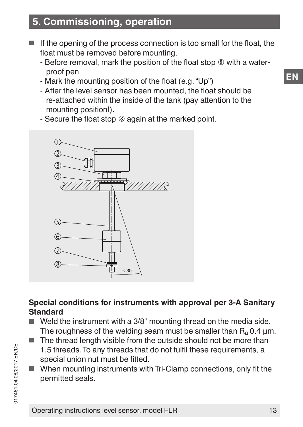# **5. Commissioning, operation**

- If the opening of the process connection is too small for the float, the float must be removed before mounting.
	- Before removal, mark the position of the float stop <sup>®</sup> with a waterproof pen
	- Mark the mounting position of the float (e.g. "Up")
	- After the level sensor has been mounted, the float should be re-attached within the inside of the tank (pay attention to the mounting position!).
	- Secure the float stop  $\circledcirc$  again at the marked point.



#### **Special conditions for instruments with approval per 3-A Sanitary Standard**

- $\blacksquare$  Weld the instrument with a 3/8" mounting thread on the media side. The roughness of the welding seam must be smaller than  $R_a$  0.4  $\mu$ m.
- The thread length visible from the outside should not be more than 1.5 threads. To any threads that do not fulfil these requirements, a special union nut must be fitted.
- When mounting instruments with Tri-Clamp connections, only fit the permitted seals.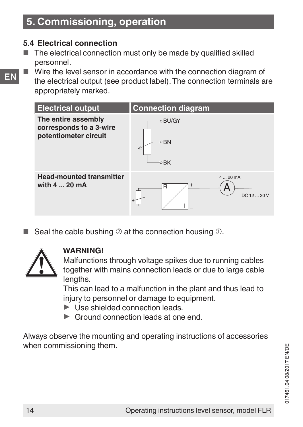# **5. Commissioning, operation**

#### **5.4 Electrical connection**

- The electrical connection must only be made by qualified skilled personnel.
- **EN** ■ Wire the level sensor in accordance with the connection diagram of the electrical output (see product label). The connection terminals are appropriately marked.



■ Seal the cable bushing  $\oslash$  at the connection housing  $\oslash$ .



#### **WARNING!**

Malfunctions through voltage spikes due to running cables together with mains connection leads or due to large cable lengths.

This can lead to a malfunction in the plant and thus lead to injury to personnel or damage to equipment.

- ▶ Use shielded connection leads.
- ▶ Ground connection leads at one end.

Always observe the mounting and operating instructions of accessories when commissioning them.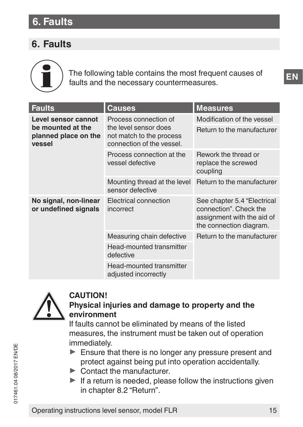# **6. Faults**

# **6. Faults**



The following table contains the most frequent causes of faults and the necessary countermeasures.

| <b>Faults</b>                                 | Causes                                                                                                  | <b>Measures</b>                                                                                                |
|-----------------------------------------------|---------------------------------------------------------------------------------------------------------|----------------------------------------------------------------------------------------------------------------|
| Level sensor cannot<br>be mounted at the      | Process connection of<br>the level sensor does<br>not match to the process<br>connection of the vessel. | Modification of the vessel<br>Return to the manufacturer                                                       |
| planned place on the<br>vessel                |                                                                                                         |                                                                                                                |
|                                               | Process connection at the<br>vessel defective                                                           | Rework the thread or<br>replace the screwed<br>coupling                                                        |
|                                               | Mounting thread at the level<br>sensor defective                                                        | Return to the manufacturer                                                                                     |
| No signal, non-linear<br>or undefined signals | Electrical connection<br>incorrect                                                                      | See chapter 5.4 "Electrical<br>connection". Check the<br>assignment with the aid of<br>the connection diagram. |
|                                               | Measuring chain defective                                                                               | Return to the manufacturer                                                                                     |
|                                               | Head-mounted transmitter<br>defective                                                                   |                                                                                                                |
|                                               | Head-mounted transmitter<br>adjusted incorrectly                                                        |                                                                                                                |



017461.04 08/2017 EN/DE

017461.04.08/2017 EN/DE

#### **CAUTION!**

**Physical injuries and damage to property and the environment**

If faults cannot be eliminated by means of the listed measures, the instrument must be taken out of operation immediately.

- $\blacktriangleright$  Ensure that there is no longer any pressure present and protect against being put into operation accidentally.
- $\blacktriangleright$  Contact the manufacturer.
- $\blacktriangleright$  If a return is needed, please follow the instructions given in chapter 8.2 "Return".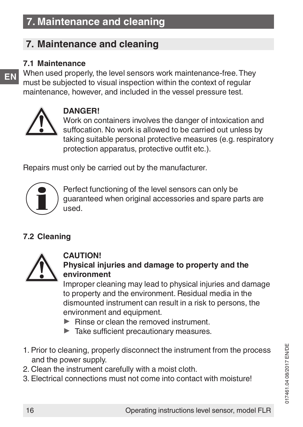# **7. Maintenance and cleaning**

# **7. Maintenance and cleaning**

#### **7.1 Maintenance**

When used properly, the level sensors work maintenance-free. They must be subjected to visual inspection within the context of regular maintenance, however, and included in the vessel pressure test.



**EN**

#### **DANGER!**

Work on containers involves the danger of intoxication and suffocation. No work is allowed to be carried out unless by taking suitable personal protective measures (e.g. respiratory protection apparatus, protective outfit etc.).

Repairs must only be carried out by the manufacturer.



Perfect functioning of the level sensors can only be guaranteed when original accessories and spare parts are used.

#### **7.2 Cleaning**



#### **CAUTION! Physical injuries and damage to property and the environment**

Improper cleaning may lead to physical injuries and damage to property and the environment. Residual media in the dismounted instrument can result in a risk to persons, the environment and equipment.

- $\blacktriangleright$  Rinse or clean the removed instrument.
- ▶ Take sufficient precautionary measures.
- 1. Prior to cleaning, properly disconnect the instrument from the process and the power supply.
- 2. Clean the instrument carefully with a moist cloth.
- 3. Electrical connections must not come into contact with moisture!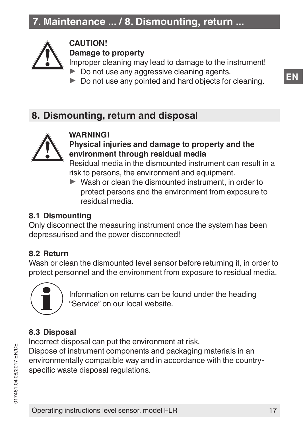# **7. Maintenance ... / 8. Dismounting, return ...**



#### **CAUTION!**

**Damage to property**

Improper cleaning may lead to damage to the instrument!

- $\triangleright$  Do not use any aggressive cleaning agents.
- ▶ Do not use any pointed and hard objects for cleaning.

### **8. Dismounting, return and disposal**



#### **WARNING! Physical injuries and damage to property and the environment through residual media**

Residual media in the dismounted instrument can result in a risk to persons, the environment and equipment.

 $\blacktriangleright$  Wash or clean the dismounted instrument, in order to protect persons and the environment from exposure to residual media.

#### **8.1 Dismounting**

Only disconnect the measuring instrument once the system has been depressurised and the power disconnected!

#### **8.2 Return**

Wash or clean the dismounted level sensor before returning it, in order to protect personnel and the environment from exposure to residual media.



Information on returns can be found under the heading "Service" on our local website.

#### **8.3 Disposal**

Incorrect disposal can put the environment at risk.

Dispose of instrument components and packaging materials in an environmentally compatible way and in accordance with the countryspecific waste disposal regulations.

**EN**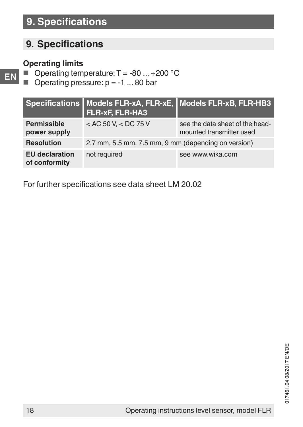# **9. Specifications**

# **9. Specifications**

# **Operating limits**<br> **Operating tem**

**EN**

■ Operating temperature:  $T = -80...+200$  °C<br>■ Operating pressure:  $p = -1$  80 har

Operating pressure:  $p = -1$  ... 80 bar

|                                        | FLR-xF, FLR-HA3                                     | Specifications   Models FLR-xA, FLR-xE,   Models FLR-xB, FLR-HB3 |
|----------------------------------------|-----------------------------------------------------|------------------------------------------------------------------|
| Permissible<br>power supply            | < AC 50 V, < DC 75 V                                | see the data sheet of the head-<br>mounted transmitter used      |
| <b>Resolution</b>                      | 2.7 mm, 5.5 mm, 7.5 mm, 9 mm (depending on version) |                                                                  |
| <b>EU</b> declaration<br>of conformity | not required                                        | see www.wika.com                                                 |

For further specifications see data sheet LM 20.02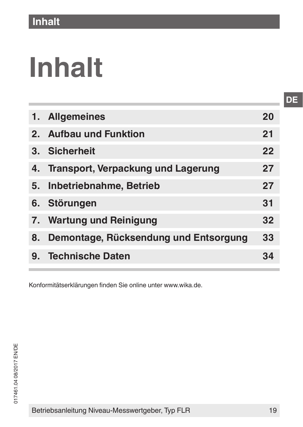# **Inhalt**

|    | 1. Allgemeines                        | 20 |
|----|---------------------------------------|----|
|    | 2. Aufbau und Funktion                | 21 |
|    | 3. Sicherheit                         | 22 |
|    | 4. Transport, Verpackung und Lagerung | 27 |
|    | 5. Inbetriebnahme, Betrieb            | 27 |
|    | 6. Störungen                          | 31 |
|    | 7. Wartung und Reinigung              | 32 |
| 8. | Demontage, Rücksendung und Entsorgung | 33 |
|    | 9. Technische Daten                   | 34 |
|    |                                       |    |

Konformitätserklärungen finden Sie online unter www.wika.de.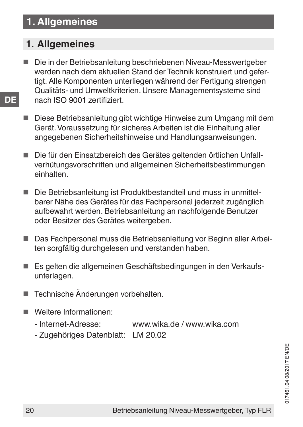# **1. Allgemeines**

# **1. Allgemeines**

- Die in der Betriebsanleitung beschriebenen Niveau-Messwertgeber werden nach dem aktuellen Stand der Technik konstruiert und gefertigt. Alle Komponenten unterliegen während der Fertigung strengen Qualitäts- und Umweltkriterien. Unsere Managementsysteme sind nach ISO 9001 zertifiziert.
- Diese Betriebsanleitung gibt wichtige Hinweise zum Umgang mit dem Gerät. Voraussetzung für sicheres Arbeiten ist die Einhaltung aller angegebenen Sicherheitshinweise und Handlungsanweisungen.
- Die für den Einsatzbereich des Gerätes geltenden örtlichen Unfallverhütungsvorschriften und allgemeinen Sicherheitsbestimmungen einhalten.
- Die Betriebsanleitung ist Produktbestandteil und muss in unmittelbarer Nähe des Gerätes für das Fachpersonal jederzeit zugänglich aufbewahrt werden. Betriebsanleitung an nachfolgende Benutzer oder Besitzer des Gerätes weitergeben.
- Das Fachpersonal muss die Betriebsanleitung vor Beginn aller Arbeiten sorgfältig durchgelesen und verstanden haben.
- Es gelten die allgemeinen Geschäftsbedingungen in den Verkaufsunterlagen.
- Technische Änderungen vorbehalten.
- Weitere Informationen:
	- Internet-Adresse: www.wika.de / www.wika.com
	- Zugehöriges Datenblatt: LM 20.02

**DE**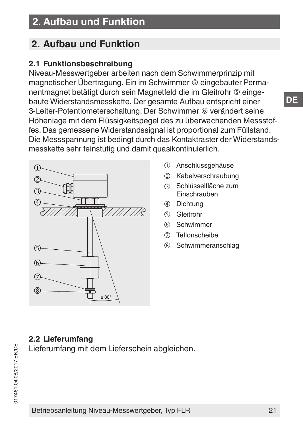# **2. Aufbau und Funktion**

## **2. Aufbau und Funktion**

#### **2.1 Funktionsbeschreibung**

Niveau-Messwertgeber arbeiten nach dem Schwimmerprinzip mit magnetischer Übertragung. Ein im Schwimmer © eingebauter Permanentmagnet betätigt durch sein Magnetfeld die im Gleitrohr <sup>®</sup> eingebaute Widerstandsmesskette. Der gesamte Aufbau entspricht einer 3-Leiter-Potentiometerschaltung. Der Schwimmer © verändert seine Höhenlage mit dem Flüssigkeitspegel des zu überwachenden Messstoffes. Das gemessene Widerstandssignal ist proportional zum Füllstand. Die Messspannung ist bedingt durch das Kontaktraster der Widerstandsmesskette sehr feinstufig und damit quasikontinuierlich.



- Anschlussgehäuse
- 2 Kabelverschraubung
- Schlüsselfläche zum Einschrauben
- Dichtung
- Gleitrohr
- Schwimmer
- Teflonscheibe
- Schwimmeranschlag

#### **2.2 Lieferumfang**

Lieferumfang mit dem Lieferschein abgleichen.

**DE**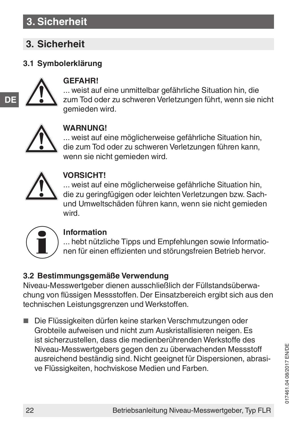# **3. Sicherheit**

#### **3.1 Symbolerklärung**



#### **GEFAHR!**

... weist auf eine unmittelbar gefährliche Situation hin, die zum Tod oder zu schweren Verletzungen führt, wenn sie nicht gemieden wird.



#### **WARNUNG!**

... weist auf eine möglicherweise gefährliche Situation hin, die zum Tod oder zu schweren Verletzungen führen kann, wenn sie nicht gemieden wird.



#### **VORSICHT!**

... weist auf eine möglicherweise gefährliche Situation hin, die zu geringfügigen oder leichten Verletzungen bzw. Sachund Umweltschäden führen kann, wenn sie nicht gemieden wird.



#### **Information**

... hebt nützliche Tipps und Empfehlungen sowie Informationen für einen effizienten und störungsfreien Betrieb hervor.

#### **3.2 Bestimmungsgemäße Verwendung**

Niveau-Messwertgeber dienen ausschließlich der Füllstandsüberwachung von flüssigen Messstoffen. Der Einsatzbereich ergibt sich aus den technischen Leistungsgrenzen und Werkstoffen.

Die Flüssigkeiten dürfen keine starken Verschmutzungen oder Grobteile aufweisen und nicht zum Auskristallisieren neigen. Es ist sicherzustellen, dass die medienberührenden Werkstoffe des Niveau-Messwertgebers gegen den zu überwachenden Messstoff ausreichend beständig sind. Nicht geeignet für Dispersionen, abrasive Flüssigkeiten, hochviskose Medien und Farben.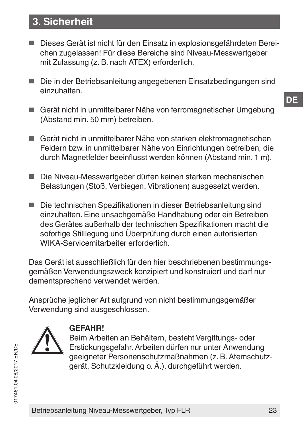- Dieses Gerät ist nicht für den Einsatz in explosionsgefährdeten Bereichen zugelassen! Für diese Bereiche sind Niveau-Messwertgeber mit Zulassung (z. B. nach ATEX) erforderlich.
- Die in der Betriebsanleitung angegebenen Einsatzbedingungen sind einzuhalten.
- Gerät nicht in unmittelbarer Nähe von ferromagnetischer Umgebung (Abstand min. 50 mm) betreiben.
- Gerät nicht in unmittelbarer Nähe von starken elektromagnetischen Feldern bzw. in unmittelbarer Nähe von Einrichtungen betreiben, die durch Magnetfelder beeinflusst werden können (Abstand min. 1 m).
- Die Niveau-Messwertgeber dürfen keinen starken mechanischen Belastungen (Stoß, Verbiegen, Vibrationen) ausgesetzt werden.
- Die technischen Spezifikationen in dieser Betriebsanleitung sind einzuhalten. Eine unsachgemäße Handhabung oder ein Betreiben des Gerätes außerhalb der technischen Spezifikationen macht die sofortige Stilllegung und Überprüfung durch einen autorisierten WIKA-Servicemitarbeiter erforderlich.

Das Gerät ist ausschließlich für den hier beschriebenen bestimmungsgemäßen Verwendungszweck konzipiert und konstruiert und darf nur dementsprechend verwendet werden.

Ansprüche jeglicher Art aufgrund von nicht bestimmungsgemäßer Verwendung sind ausgeschlossen.



#### **GEFAHR!**

Beim Arbeiten an Behältern, besteht Vergiftungs- oder Erstickungsgefahr. Arbeiten dürfen nur unter Anwendung geeigneter Personenschutzmaßnahmen (z. B. Atemschutzgerät, Schutzkleidung o. Ä.). durchgeführt werden.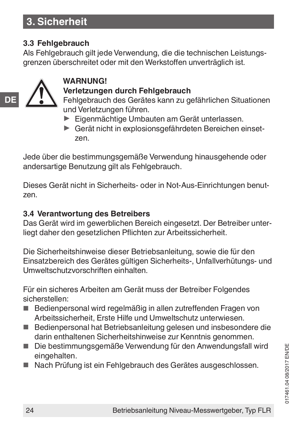#### **3.3 Fehlgebrauch**

Als Fehlgebrauch gilt jede Verwendung, die die technischen Leistungsgrenzen überschreitet oder mit den Werkstoffen unverträglich ist.



**DE**

#### **WARNUNG! Verletzungen durch Fehlgebrauch**

Fehlgebrauch des Gerätes kann zu gefährlichen Situationen und Verletzungen führen.

- ▶ Eigenmächtige Umbauten am Gerät unterlassen.
- ▶ Gerät nicht in explosionsgefährdeten Bereichen einsetzen.

Jede über die bestimmungsgemäße Verwendung hinausgehende oder andersartige Benutzung gilt als Fehlgebrauch.

Dieses Gerät nicht in Sicherheits- oder in Not-Aus-Einrichtungen benutzen.

#### **3.4 Verantwortung des Betreibers**

Das Gerät wird im gewerblichen Bereich eingesetzt. Der Betreiber unterliegt daher den gesetzlichen Pflichten zur Arbeitssicherheit.

Die Sicherheitshinweise dieser Betriebsanleitung, sowie die für den Einsatzbereich des Gerätes gültigen Sicherheits-, Unfallverhütungs- und Umweltschutzvorschriften einhalten.

Für ein sicheres Arbeiten am Gerät muss der Betreiber Folgendes sicherstellen:

- Bedienpersonal wird regelmäßig in allen zutreffenden Fragen von Arbeitssicherheit, Erste Hilfe und Umweltschutz unterwiesen.
- Bedienpersonal hat Betriebsanleitung gelesen und insbesondere die darin enthaltenen Sicherheitshinweise zur Kenntnis genommen.
- Die bestimmungsgemäße Verwendung für den Anwendungsfall wird eingehalten.
- Nach Prüfung ist ein Fehlgebrauch des Gerätes ausgeschlossen.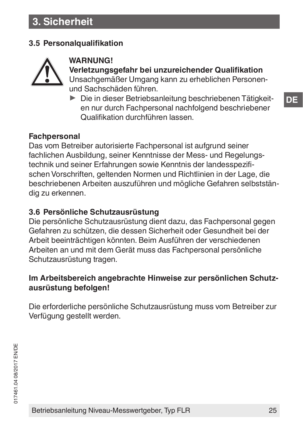#### **3.5 Personalqualifikation**



#### **WARNUNG! Verletzungsgefahr bei unzureichender Qualifikation**

Unsachgemäßer Umgang kann zu erheblichen Personenund Sachschäden führen.

▶ Die in dieser Betriebsanleitung beschriebenen Tätigkeiten nur durch Fachpersonal nachfolgend beschriebener Qualifikation durchführen lassen.

#### **Fachpersonal**

Das vom Betreiber autorisierte Fachpersonal ist aufgrund seiner fachlichen Ausbildung, seiner Kenntnisse der Mess- und Regelungstechnik und seiner Erfahrungen sowie Kenntnis der landesspezifischen Vorschriften, geltenden Normen und Richtlinien in der Lage, die beschriebenen Arbeiten auszuführen und mögliche Gefahren selbstständig zu erkennen.

#### **3.6 Persönliche Schutzausrüstung**

Die persönliche Schutzausrüstung dient dazu, das Fachpersonal gegen Gefahren zu schützen, die dessen Sicherheit oder Gesundheit bei der Arbeit beeinträchtigen könnten. Beim Ausführen der verschiedenen Arbeiten an und mit dem Gerät muss das Fachpersonal persönliche Schutzausrüstung tragen.

#### **Im Arbeitsbereich angebrachte Hinweise zur persönlichen Schutzausrüstung befolgen!**

Die erforderliche persönliche Schutzausrüstung muss vom Betreiber zur Verfügung gestellt werden.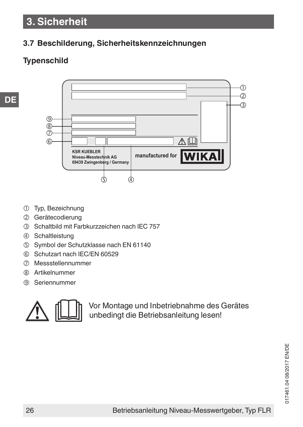#### **3.7 Beschilderung, Sicherheitskennzeichnungen**

#### **Typenschild**

|                     |                                                                                                            | 3) |
|---------------------|------------------------------------------------------------------------------------------------------------|----|
| ⊚<br>(8)<br>ヲ<br>6. |                                                                                                            |    |
|                     | <b>KSR KUEBLER</b><br>manufactured for <b>WIKA</b><br>Niveau-Messtechnik AG<br>69439 Zwingenberg / Germany |    |
|                     |                                                                                                            |    |

- Typ, Bezeichnung
- Gerätecodierung
- Schaltbild mit Farbkurzzeichen nach IEC 757
- Schaltleistung
- Symbol der Schutzklasse nach EN 61140
- Schutzart nach IEC/EN 60529
- Messstellennummer
- Artikelnummer
- Seriennummer



Vor Montage und Inbetriebnahme des Gerätes unbedingt die Betriebsanleitung lesen!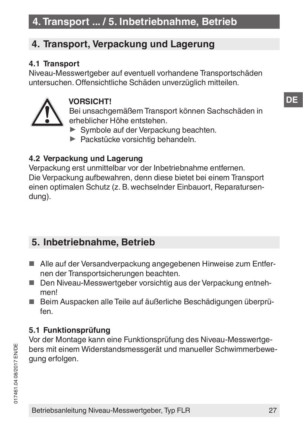# **4. Transport ... / 5. Inbetriebnahme, Betrieb**

### **4. Transport, Verpackung und Lagerung**

#### **4.1 Transport**

Niveau-Messwertgeber auf eventuell vorhandene Transportschäden untersuchen. Offensichtliche Schäden unverzüglich mitteilen.



#### **VORSICHT!**

Bei unsachgemäßem Transport können Sachschäden in erheblicher Höhe entstehen.

- ▶ Symbole auf der Verpackung beachten.
- ▶ Packstücke vorsichtig behandeln.

#### **4.2 Verpackung und Lagerung**

Verpackung erst unmittelbar vor der Inbetriebnahme entfernen. Die Verpackung aufbewahren, denn diese bietet bei einem Transport einen optimalen Schutz (z. B. wechselnder Einbauort, Reparatursendung).

#### **5. Inbetriebnahme, Betrieb**

- Alle auf der Versandverpackung angegebenen Hinweise zum Entfernen der Transportsicherungen beachten.
- Den Niveau-Messwertgeber vorsichtig aus der Verpackung entnehmen!
- Beim Auspacken alle Teile auf äußerliche Beschädigungen überprüfen.

#### **5.1 Funktionsprüfung**

Vor der Montage kann eine Funktionsprüfung des Niveau-Messwertgebers mit einem Widerstandsmessgerät und manueller Schwimmerbewegung erfolgen.

**DE**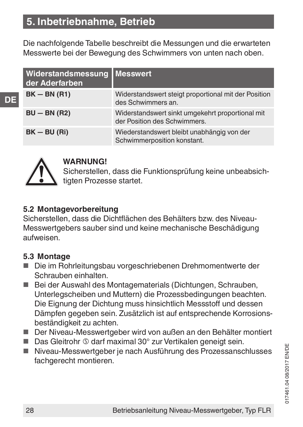# **5. Inbetriebnahme, Betrieb**

Die nachfolgende Tabelle beschreibt die Messungen und die erwarteten Messwerte bei der Bewegung des Schwimmers von unten nach oben.

| Widerstandsmessung<br>der Aderfarben | <b>Messwert</b>                                                                  |
|--------------------------------------|----------------------------------------------------------------------------------|
| $BK - BN (R1)$                       | Widerstandswert steigt proportional mit der Position<br>des Schwimmers an.       |
| $BU - BN (R2)$                       | Widerstandswert sinkt umgekehrt proportional mit<br>der Position des Schwimmers. |
| $BK - BU (Ri)$                       | Wiederstandswert bleibt unabhängig von der<br>Schwimmerposition konstant.        |



#### **WARNUNG!**

Sicherstellen, dass die Funktionsprüfung keine unbeabsichtigten Prozesse startet.

#### **5.2 Montagevorbereitung**

Sicherstellen, dass die Dichtflächen des Behälters bzw. des Niveau-Messwertgebers sauber sind und keine mechanische Beschädigung aufweisen.

#### **5.3 Montage**

- Die im Rohrleitungsbau vorgeschriebenen Drehmomentwerte der Schrauben einhalten.
- Bei der Auswahl des Montagematerials (Dichtungen, Schrauben, Unterlegscheiben und Muttern) die Prozessbedingungen beachten. Die Eignung der Dichtung muss hinsichtlich Messstoff und dessen Dämpfen gegeben sein. Zusätzlich ist auf entsprechende Korrosionsbeständigkeit zu achten.
- Der Niveau-Messwertgeber wird von außen an den Behälter montiert
- Das Gleitrohr © darf maximal 30° zur Vertikalen geneigt sein.
- Niveau-Messwertgeber ie nach Ausführung des Prozessanschlusses fachgerecht montieren.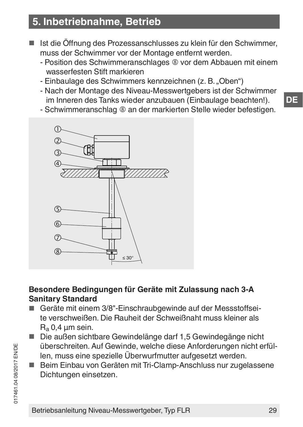# **5. Inbetriebnahme, Betrieb**

- Ist die Öffnung des Prozessanschlusses zu klein für den Schwimmer, muss der Schwimmer vor der Montage entfernt werden.
	- Position des Schwimmeranschlages vor dem Abbauen mit einem wasserfesten Stift markieren
	- Einbaulage des Schwimmers kennzeichnen (z. B. "Oben")
	- Nach der Montage des Niveau-Messwertgebers ist der Schwimmer im Inneren des Tanks wieder anzubauen (Einbaulage beachten!).
	- Schwimmeranschlag <sup>®</sup> an der markierten Stelle wieder befestigen.



#### **Besondere Bedingungen für Geräte mit Zulassung nach 3-A Sanitary Standard**

- Geräte mit einem 3/8"-Einschraubgewinde auf der Messstoffseite verschweißen. Die Rauheit der Schweißnaht muss kleiner als  $R_a$  0.4  $\mu$ m sein.
- Die außen sichtbare Gewindelänge darf 1,5 Gewindegänge nicht überschreiten. Auf Gewinde, welche diese Anforderungen nicht erfüllen, muss eine spezielle Überwurfmutter aufgesetzt werden.
- Beim Einbau von Geräten mit Tri-Clamp-Anschluss nur zugelassene Dichtungen einsetzen.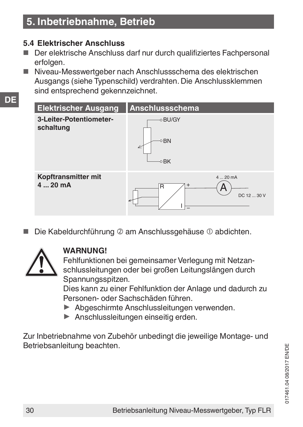# **5. Inbetriebnahme, Betrieb**

#### **5.4 Elektrischer Anschluss**

- Der elektrische Anschluss darf nur durch qualifiziertes Fachpersonal erfolgen.
- Niveau-Messwertgeber nach Anschlussschema des elektrischen Ausgangs (siehe Typenschild) verdrahten. Die Anschlussklemmen sind entsprechend gekennzeichnet.



■ Die Kabeldurchführung  $\oslash$  am Anschlussgehäuse  $\oslash$  abdichten.



#### **WARNUNG!**

Fehlfunktionen bei gemeinsamer Verlegung mit Netzanschlussleitungen oder bei großen Leitungslängen durch Spannungsspitzen.

Dies kann zu einer Fehlfunktion der Anlage und dadurch zu Personen- oder Sachschäden führen.

- ▶ Abgeschirmte Anschlussleitungen verwenden.
- ▶ Anschlussleitungen einseitig erden.

Zur Inbetriebnahme von Zubehör unbedingt die jeweilige Montage- und Betriebsanleitung beachten.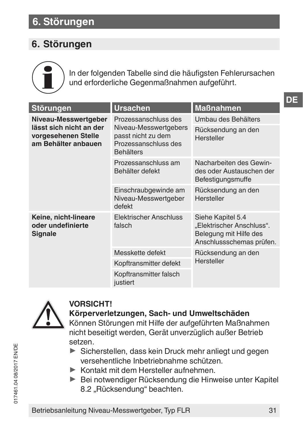# **6. Störungen**

# **6. Störungen**



In der folgenden Tabelle sind die häufigsten Fehlerursachen und erforderliche Gegenmaßnahmen aufgeführt.

| Störungen                                                             | <b>Ursachen</b>                                                                                                 | <b>Maßnahmen</b>                                                                                     |
|-----------------------------------------------------------------------|-----------------------------------------------------------------------------------------------------------------|------------------------------------------------------------------------------------------------------|
| Niveau-Messwertgeber                                                  | Prozessanschluss des<br>Niveau-Messwertgebers<br>passt nicht zu dem<br>Prozessanschluss des<br><b>Behälters</b> | Umbau des Behälters                                                                                  |
| lässt sich nicht an der<br>vorgesehenen Stelle<br>am Behälter anbauen |                                                                                                                 | Rücksendung an den<br>Hersteller                                                                     |
|                                                                       | Prozessanschluss am<br>Behälter defekt                                                                          | Nacharbeiten des Gewin-<br>des oder Austauschen der<br>Befestigungsmuffe                             |
|                                                                       | Einschraubgewinde am<br>Niveau-Messwertgeber<br>defekt                                                          | Rücksendung an den<br>Hersteller                                                                     |
| Keine, nicht-lineare<br>oder undefinierte<br>Signale                  | Elektrischer Anschluss<br>falsch                                                                                | Siehe Kapitel 5.4<br>"Elektrischer Anschluss".<br>Belegung mit Hilfe des<br>Anschlussschemas prüfen. |
|                                                                       | Messkette defekt                                                                                                | Rücksendung an den                                                                                   |
|                                                                       | Kopftransmitter defekt                                                                                          | Hersteller                                                                                           |
|                                                                       | Kopftransmitter falsch<br>justiert                                                                              |                                                                                                      |



#### **VORSICHT!**

#### **Körperverletzungen, Sach- und Umweltschäden**

Können Störungen mit Hilfe der aufgeführten Maßnahmen nicht beseitigt werden, Gerät unverzüglich außer Betrieb setzen.

- ▶ Sicherstellen, dass kein Druck mehr anliegt und gegen versehentliche Inbetriebnahme schützen.
- ▶ Kontakt mit dem Hersteller aufnehmen.
- ▶ Bei notwendiger Rücksendung die Hinweise unter Kapitel 8.2 "Rücksendung" beachten.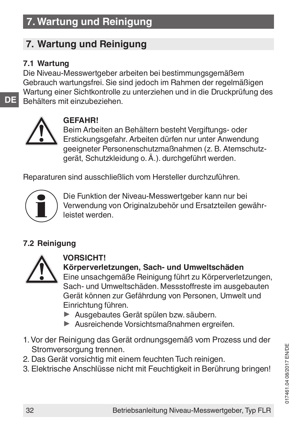# **7. Wartung und Reinigung**

# **7. Wartung und Reinigung**

#### **7.1 Wartung**

Die Niveau-Messwertgeber arbeiten bei bestimmungsgemäßem Gebrauch wartungsfrei. Sie sind jedoch im Rahmen der regelmäßigen Wartung einer Sichtkontrolle zu unterziehen und in die Druckprüfung des Behälters mit einzubeziehen.



**DE**

#### **GEFAHR!**

Beim Arbeiten an Behältern besteht Vergiftungs- oder Erstickungsgefahr. Arbeiten dürfen nur unter Anwendung geeigneter Personenschutzmaßnahmen (z. B. Atemschutzgerät, Schutzkleidung o. Ä.). durchgeführt werden.

Reparaturen sind ausschließlich vom Hersteller durchzuführen.



Die Funktion der Niveau-Messwertgeber kann nur bei Verwendung von Originalzubehör und Ersatzteilen gewährleistet werden.

#### **7.2 Reinigung**



#### **VORSICHT!**

**Körperverletzungen, Sach- und Umweltschäden**

Eine unsachgemäße Reinigung führt zu Körperverletzungen, Sach- und Umweltschäden. Messstoffreste im ausgebauten Gerät können zur Gefährdung von Personen, Umwelt und Einrichtung führen.

- ▶ Ausgebautes Gerät spülen bzw. säubern.
- ▶ Ausreichende Vorsichtsmaßnahmen ergreifen.
- 1. Vor der Reinigung das Gerät ordnungsgemäß vom Prozess und der Stromversorgung trennen.
- 2. Das Gerät vorsichtig mit einem feuchten Tuch reinigen.
- 3. Elektrische Anschlüsse nicht mit Feuchtigkeit in Berührung bringen!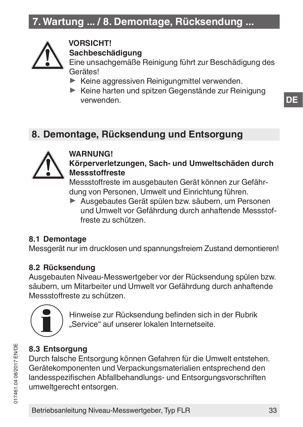# **7. Wartung ... / 8. Demontage, Rücksendung ...**



#### **VORSICHT! Sachbeschädigung**

Eine unsachgemäße Reinigung führt zur Beschädigung des **Gerätes!** 

- ▶ Keine aggressiven Reinigungmittel verwenden.
- ▶ Keine harten und spitzen Gegenstände zur Reinigung verwenden.

# **8. Demontage, Rücksendung und Entsorgung**



#### **WARNUNG! Körperverletzungen, Sach- und Umweltschäden durch Messstoffreste**

Messstoffreste im ausgebauten Gerät können zur Gefährdung von Personen, Umwelt und Einrichtung führen.

▶ Ausgebautes Gerät spülen bzw. säubern, um Personen und Umwelt vor Gefährdung durch anhaftende Messstoffreste zu schützen.

#### **8.1 Demontage**

Messgerät nur im drucklosen und spannungsfreiem Zustand demontieren!

#### **8.2 Rücksendung**

Ausgebauten Niveau-Messwertgeber vor der Rücksendung spülen bzw. säubern, um Mitarbeiter und Umwelt vor Gefährdung durch anhaftende Messstoffreste zu schützen.



Hinweise zur Rücksendung befinden sich in der Rubrik "Service" auf unserer lokalen Internetseite.

#### **8.3 Entsorgung**

Durch falsche Entsorgung können Gefahren für die Umwelt entstehen. Gerätekomponenten und Verpackungsmaterialien entsprechend den landesspezifischen Abfallbehandlungs- und Entsorgungsvorschriften umweltgerecht entsorgen.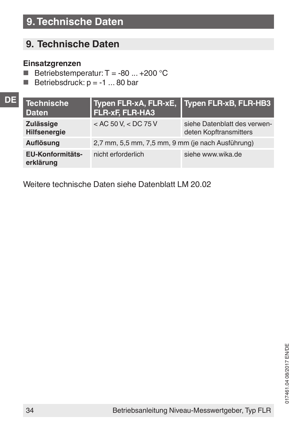# **9. Technische Daten**

# **9. Technische Daten**

# **Einsatzgrenzen**

- Betriebstemperatur:  $T = -80$  ...  $+200$  °C<br>■ Betriebsdruck:  $p = -1$  ... 80 bar
- Betriebsdruck:  $p = -1$  ... 80 bar

| <b>Technische</b><br><b>Daten</b>       | FLR-xF, FLR-HA3                                   | Typen FLR-xA, FLR-xE, Typen FLR-xB, FLR-HB3            |
|-----------------------------------------|---------------------------------------------------|--------------------------------------------------------|
| <b>Zulässige</b><br><b>Hilfsenergie</b> | < AC 50 V, < DC 75 V                              | siehe Datenblatt des verwen-<br>deten Kopftransmitters |
| Auflösung                               | 2,7 mm, 5,5 mm, 7,5 mm, 9 mm (je nach Ausführung) |                                                        |
| EU-Konformitäts-<br>erklärung           | nicht erforderlich                                | siehe www.wika.de                                      |

Weitere technische Daten siehe Datenblatt LM 20.02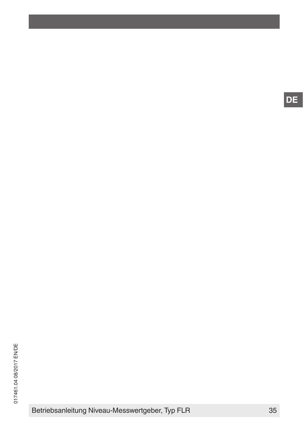Betriebsanleitung Niveau-Messwertgeber, Typ FLR

**DE**